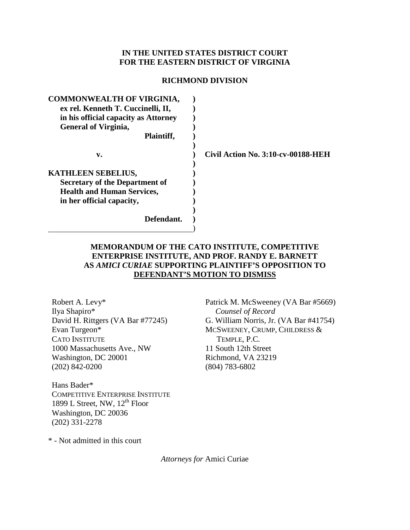## **IN THE UNITED STATES DISTRICT COURT FOR THE EASTERN DISTRICT OF VIRGINIA**

#### **RICHMOND DIVISION**

| <b>COMMONWEALTH OF VIRGINIA,</b><br>ex rel. Kenneth T. Cuccinelli, II,<br>in his official capacity as Attorney<br><b>General of Virginia,</b> |                                           |
|-----------------------------------------------------------------------------------------------------------------------------------------------|-------------------------------------------|
| Plaintiff,                                                                                                                                    |                                           |
| v.                                                                                                                                            | <b>Civil Action No. 3:10-cv-00188-HEH</b> |
| <b>KATHLEEN SEBELIUS,</b>                                                                                                                     |                                           |
| <b>Secretary of the Department of</b>                                                                                                         |                                           |
| <b>Health and Human Services,</b>                                                                                                             |                                           |
| in her official capacity,                                                                                                                     |                                           |
| Defendant.                                                                                                                                    |                                           |

## **MEMORANDUM OF THE CATO INSTITUTE, COMPETITIVE ENTERPRISE INSTITUTE, AND PROF. RANDY E. BARNETT AS** *AMICI CURIAE* **SUPPORTING PLAINTIFF'S OPPOSITION TO DEFENDANT'S MOTION TO DISMISS**

Robert A. Levy\* Ilya Shapiro\* David H. Rittgers (VA Bar #77245) Evan Turgeon\* CATO INSTITUTE 1000 Massachusetts Ave., NW Washington, DC 20001 (202) 842-0200

Hans Bader\* COMPETITIVE ENTERPRISE INSTITUTE 1899 L Street, NW,  $12^{th}$  Floor Washington, DC 20036 (202) 331-2278

Patrick M. McSweeney (VA Bar #5669) *Counsel of Record* G. William Norris, Jr. (VA Bar #41754) MCSWEENEY, CRUMP, CHILDRESS & TEMPLE, P.C. 11 South 12th Street Richmond, VA 23219 (804) 783-6802

\* - Not admitted in this court

*Attorneys for* Amici Curiae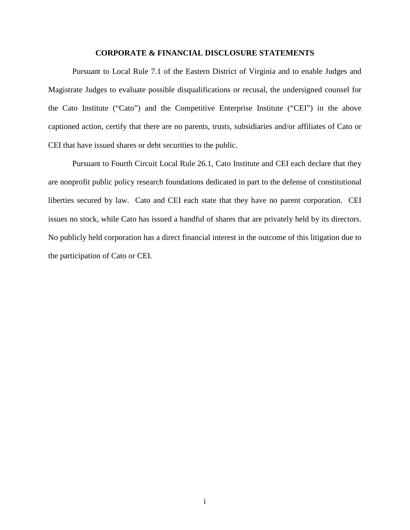### **CORPORATE & FINANCIAL DISCLOSURE STATEMENTS**

Pursuant to Local Rule 7.1 of the Eastern District of Virginia and to enable Judges and Magistrate Judges to evaluate possible disqualifications or recusal, the undersigned counsel for the Cato Institute ("Cato") and the Competitive Enterprise Institute ("CEI") in the above captioned action, certify that there are no parents, trusts, subsidiaries and/or affiliates of Cato or CEI that have issued shares or debt securities to the public.

Pursuant to Fourth Circuit Local Rule 26.1, Cato Institute and CEI each declare that they are nonprofit public policy research foundations dedicated in part to the defense of constitutional liberties secured by law. Cato and CEI each state that they have no parent corporation. CEI issues no stock, while Cato has issued a handful of shares that are privately held by its directors. No publicly held corporation has a direct financial interest in the outcome of this litigation due to the participation of Cato or CEI.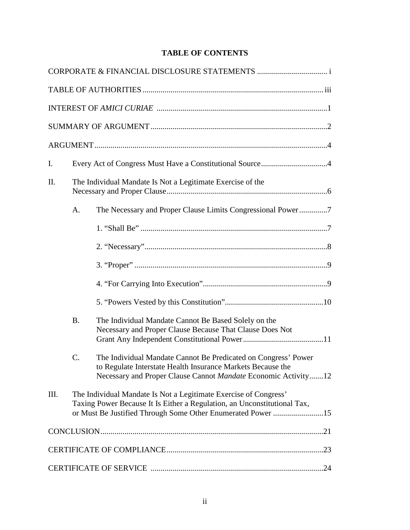# **TABLE OF CONTENTS**

| $\mathbf{I}$ . |                                                            |                                                                                                                                                                                                             |  |
|----------------|------------------------------------------------------------|-------------------------------------------------------------------------------------------------------------------------------------------------------------------------------------------------------------|--|
| П.             | The Individual Mandate Is Not a Legitimate Exercise of the |                                                                                                                                                                                                             |  |
|                | $A_{\cdot}$                                                | The Necessary and Proper Clause Limits Congressional Power7                                                                                                                                                 |  |
|                |                                                            |                                                                                                                                                                                                             |  |
|                |                                                            |                                                                                                                                                                                                             |  |
|                |                                                            |                                                                                                                                                                                                             |  |
|                |                                                            |                                                                                                                                                                                                             |  |
|                |                                                            |                                                                                                                                                                                                             |  |
|                | <b>B.</b>                                                  | The Individual Mandate Cannot Be Based Solely on the<br>Necessary and Proper Clause Because That Clause Does Not                                                                                            |  |
|                | $\mathcal{C}$ .                                            | The Individual Mandate Cannot Be Predicated on Congress' Power<br>to Regulate Interstate Health Insurance Markets Because the<br>Necessary and Proper Clause Cannot Mandate Economic Activity12             |  |
| III.           |                                                            | The Individual Mandate Is Not a Legitimate Exercise of Congress'<br>Taxing Power Because It Is Either a Regulation, an Unconstitutional Tax,<br>or Must Be Justified Through Some Other Enumerated Power 15 |  |
|                |                                                            |                                                                                                                                                                                                             |  |
|                |                                                            |                                                                                                                                                                                                             |  |
|                |                                                            |                                                                                                                                                                                                             |  |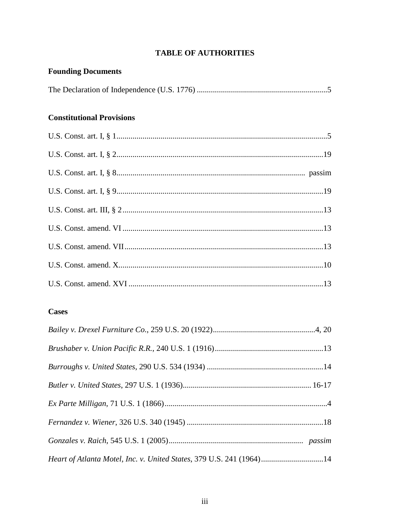## **TABLE OF AUTHORITIES**

# **Founding Documents Constitutional Provisions**

## **Cases**

| Heart of Atlanta Motel, Inc. v. United States, 379 U.S. 241 (1964)14 |  |
|----------------------------------------------------------------------|--|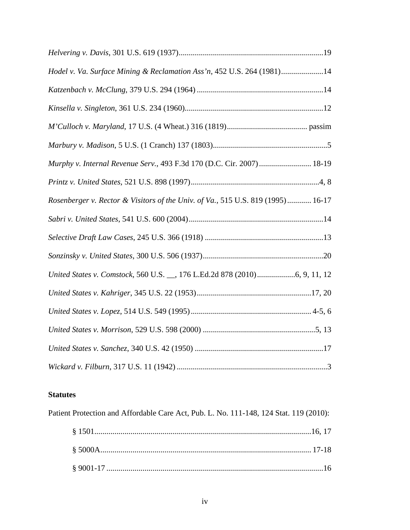| Hodel v. Va. Surface Mining & Reclamation Ass'n, 452 U.S. 264 (1981)14          |
|---------------------------------------------------------------------------------|
|                                                                                 |
|                                                                                 |
|                                                                                 |
|                                                                                 |
| Murphy v. Internal Revenue Serv., 493 F.3d 170 (D.C. Cir. 2007)  18-19          |
|                                                                                 |
| Rosenberger v. Rector & Visitors of the Univ. of Va., 515 U.S. 819 (1995) 16-17 |
|                                                                                 |
|                                                                                 |
|                                                                                 |
|                                                                                 |
|                                                                                 |
|                                                                                 |
|                                                                                 |
|                                                                                 |
|                                                                                 |

## **Statutes**

Patient Protection and Affordable Care Act, Pub. L. No. 111-148, 124 Stat. 119 (2010):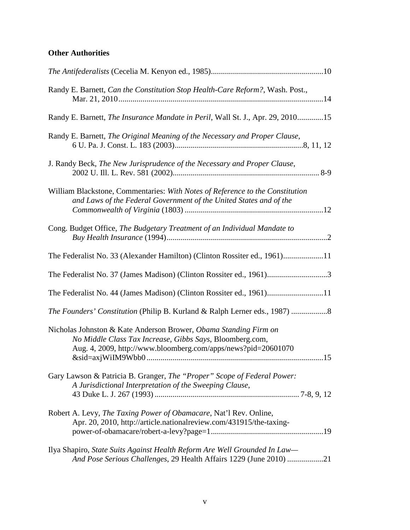# **Other Authorities**

| Randy E. Barnett, Can the Constitution Stop Health-Care Reform?, Wash. Post.,                                                                                                                 |
|-----------------------------------------------------------------------------------------------------------------------------------------------------------------------------------------------|
| Randy E. Barnett, The Insurance Mandate in Peril, Wall St. J., Apr. 29, 201015                                                                                                                |
| Randy E. Barnett, The Original Meaning of the Necessary and Proper Clause,                                                                                                                    |
| J. Randy Beck, The New Jurisprudence of the Necessary and Proper Clause,                                                                                                                      |
| William Blackstone, Commentaries: With Notes of Reference to the Constitution<br>and Laws of the Federal Government of the United States and of the                                           |
| Cong. Budget Office, The Budgetary Treatment of an Individual Mandate to                                                                                                                      |
| The Federalist No. 33 (Alexander Hamilton) (Clinton Rossiter ed., 1961)11                                                                                                                     |
| The Federalist No. 37 (James Madison) (Clinton Rossiter ed., 1961)3                                                                                                                           |
| The Federalist No. 44 (James Madison) (Clinton Rossiter ed., 1961)11                                                                                                                          |
| The Founders' Constitution (Philip B. Kurland & Ralph Lerner eds., 1987) 8                                                                                                                    |
| Nicholas Johnston & Kate Anderson Brower, Obama Standing Firm on<br>No Middle Class Tax Increase, Gibbs Says, Bloomberg.com,<br>Aug. 4, 2009, http://www.bloomberg.com/apps/news?pid=20601070 |
| Gary Lawson & Patricia B. Granger, The "Proper" Scope of Federal Power:<br>A Jurisdictional Interpretation of the Sweeping Clause,                                                            |
| Robert A. Levy, The Taxing Power of Obamacare, Nat'l Rev. Online,<br>Apr. 20, 2010, http://article.nationalreview.com/431915/the-taxing-                                                      |
| Ilya Shapiro, State Suits Against Health Reform Are Well Grounded In Law-<br>And Pose Serious Challenges, 29 Health Affairs 1229 (June 2010) 21                                               |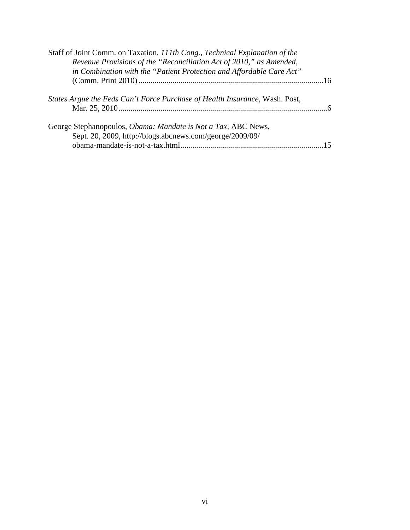| Staff of Joint Comm. on Taxation, 111th Cong., Technical Explanation of the                                               |  |
|---------------------------------------------------------------------------------------------------------------------------|--|
| Revenue Provisions of the "Reconciliation Act of 2010," as Amended,                                                       |  |
| in Combination with the "Patient Protection and Affordable Care Act"                                                      |  |
|                                                                                                                           |  |
| States Argue the Feds Can't Force Purchase of Health Insurance, Wash. Post,                                               |  |
| George Stephanopoulos, Obama: Mandate is Not a Tax, ABC News,<br>Sept. 20, 2009, http://blogs.abcnews.com/george/2009/09/ |  |
|                                                                                                                           |  |
|                                                                                                                           |  |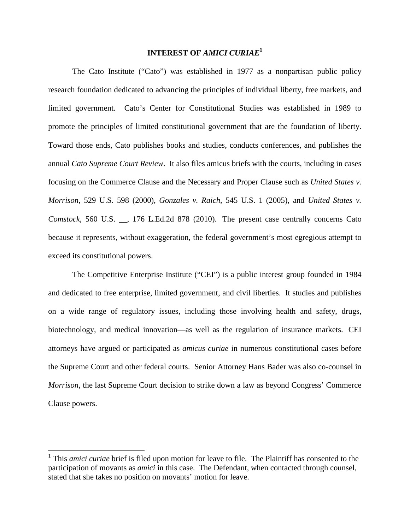## **INTEREST OF** *AMICI CURIAE***<sup>1</sup>**

The Cato Institute ("Cato") was established in 1977 as a nonpartisan public policy research foundation dedicated to advancing the principles of individual liberty, free markets, and limited government. Cato's Center for Constitutional Studies was established in 1989 to promote the principles of limited constitutional government that are the foundation of liberty. Toward those ends, Cato publishes books and studies, conducts conferences, and publishes the annual *Cato Supreme Court Review*. It also files amicus briefs with the courts, including in cases focusing on the Commerce Clause and the Necessary and Proper Clause such as *United States v. Morrison*, 529 U.S. 598 (2000), *Gonzales v. Raich*, 545 U.S. 1 (2005), and *United States v. Comstock*, 560 U.S. \_\_, 176 L.Ed.2d 878 (2010). The present case centrally concerns Cato because it represents, without exaggeration, the federal government's most egregious attempt to exceed its constitutional powers.

The Competitive Enterprise Institute ("CEI") is a public interest group founded in 1984 and dedicated to free enterprise, limited government, and civil liberties. It studies and publishes on a wide range of regulatory issues, including those involving health and safety, drugs, biotechnology, and medical innovation—as well as the regulation of insurance markets. CEI attorneys have argued or participated as *amicus curiae* in numerous constitutional cases before the Supreme Court and other federal courts. Senior Attorney Hans Bader was also co-counsel in *Morrison*, the last Supreme Court decision to strike down a law as beyond Congress' Commerce Clause powers.

<sup>&</sup>lt;sup>1</sup> This *amici curiae* brief is filed upon motion for leave to file. The Plaintiff has consented to the participation of movants as *amici* in this case. The Defendant, when contacted through counsel, stated that she takes no position on movants' motion for leave.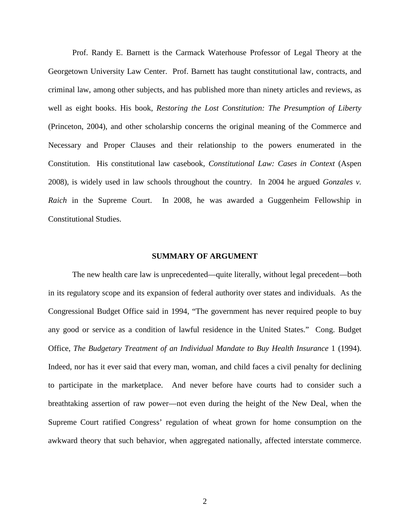Prof. Randy E. Barnett is the Carmack Waterhouse Professor of Legal Theory at the Georgetown University Law Center. Prof. Barnett has taught constitutional law, contracts, and criminal law, among other subjects, and has published more than ninety articles and reviews, as well as eight books. His book, *Restoring the Lost Constitution: The Presumption of Liberty* (Princeton, 2004), and other scholarship concerns the original meaning of the Commerce and Necessary and Proper Clauses and their relationship to the powers enumerated in the Constitution. His constitutional law casebook, *Constitutional Law: Cases in Context* (Aspen 2008), is widely used in law schools throughout the country. In 2004 he argued *Gonzales v. Raich* in the Supreme Court. In 2008, he was awarded a Guggenheim Fellowship in Constitutional Studies.

#### **SUMMARY OF ARGUMENT**

The new health care law is unprecedented—quite literally, without legal precedent—both in its regulatory scope and its expansion of federal authority over states and individuals. As the Congressional Budget Office said in 1994, "The government has never required people to buy any good or service as a condition of lawful residence in the United States." Cong. Budget Office, *The Budgetary Treatment of an Individual Mandate to Buy Health Insurance* 1 (1994). Indeed, nor has it ever said that every man, woman, and child faces a civil penalty for declining to participate in the marketplace. And never before have courts had to consider such a breathtaking assertion of raw power—not even during the height of the New Deal, when the Supreme Court ratified Congress' regulation of wheat grown for home consumption on the awkward theory that such behavior, when aggregated nationally, affected interstate commerce.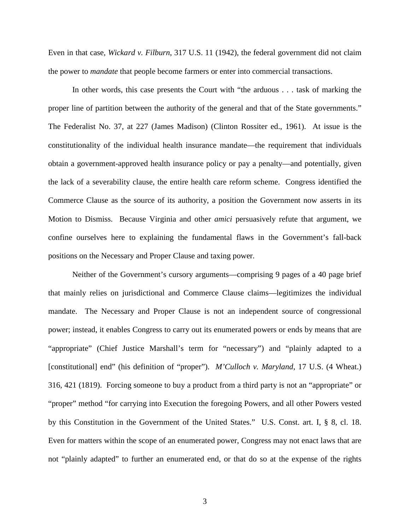Even in that case, *Wickard v. Filburn*, 317 U.S. 11 (1942), the federal government did not claim the power to *mandate* that people become farmers or enter into commercial transactions.

In other words, this case presents the Court with "the arduous . . . task of marking the proper line of partition between the authority of the general and that of the State governments." The Federalist No. 37, at 227 (James Madison) (Clinton Rossiter ed., 1961). At issue is the constitutionality of the individual health insurance mandate—the requirement that individuals obtain a government-approved health insurance policy or pay a penalty—and potentially, given the lack of a severability clause, the entire health care reform scheme. Congress identified the Commerce Clause as the source of its authority, a position the Government now asserts in its Motion to Dismiss. Because Virginia and other *amici* persuasively refute that argument, we confine ourselves here to explaining the fundamental flaws in the Government's fall-back positions on the Necessary and Proper Clause and taxing power.

Neither of the Government's cursory arguments—comprising 9 pages of a 40 page brief that mainly relies on jurisdictional and Commerce Clause claims—legitimizes the individual mandate. The Necessary and Proper Clause is not an independent source of congressional power; instead, it enables Congress to carry out its enumerated powers or ends by means that are "appropriate" (Chief Justice Marshall's term for "necessary") and "plainly adapted to a [constitutional] end" (his definition of "proper"). *M'Culloch v. Maryland*, 17 U.S. (4 Wheat.) 316, 421 (1819). Forcing someone to buy a product from a third party is not an "appropriate" or "proper" method "for carrying into Execution the foregoing Powers, and all other Powers vested by this Constitution in the Government of the United States." U.S. Const. art. I, § 8, cl. 18. Even for matters within the scope of an enumerated power, Congress may not enact laws that are not "plainly adapted" to further an enumerated end, or that do so at the expense of the rights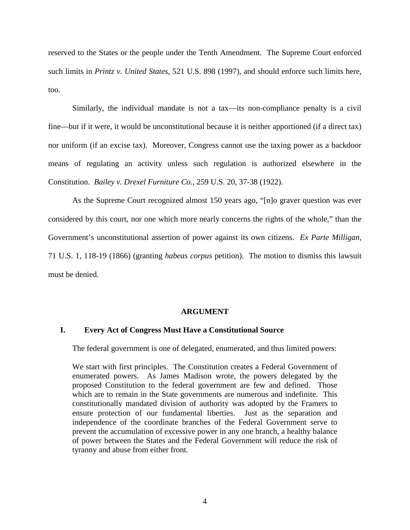reserved to the States or the people under the Tenth Amendment. The Supreme Court enforced such limits in *Printz v. United States*, 521 U.S. 898 (1997), and should enforce such limits here, too.

Similarly, the individual mandate is not a tax—its non-compliance penalty is a civil fine—but if it were, it would be unconstitutional because it is neither apportioned (if a direct tax) nor uniform (if an excise tax). Moreover, Congress cannot use the taxing power as a backdoor means of regulating an activity unless such regulation is authorized elsewhere in the Constitution. *Bailey v. Drexel Furniture Co.*, 259 U.S. 20, 37-38 (1922).

As the Supreme Court recognized almost 150 years ago, "[n]o graver question was ever considered by this court, nor one which more nearly concerns the rights of the whole," than the Government's unconstitutional assertion of power against its own citizens. *Ex Parte Milligan*, 71 U.S. 1, 118-19 (1866) (granting *habeas corpus* petition). The motion to dismiss this lawsuit must be denied.

#### **ARGUMENT**

### **I. Every Act of Congress Must Have a Constitutional Source**

The federal government is one of delegated, enumerated, and thus limited powers:

We start with first principles. The Constitution creates a Federal Government of enumerated powers. As James Madison wrote, the powers delegated by the proposed Constitution to the federal government are few and defined. Those which are to remain in the State governments are numerous and indefinite. This constitutionally mandated division of authority was adopted by the Framers to ensure protection of our fundamental liberties. Just as the separation and independence of the coordinate branches of the Federal Government serve to prevent the accumulation of excessive power in any one branch, a healthy balance of power between the States and the Federal Government will reduce the risk of tyranny and abuse from either front.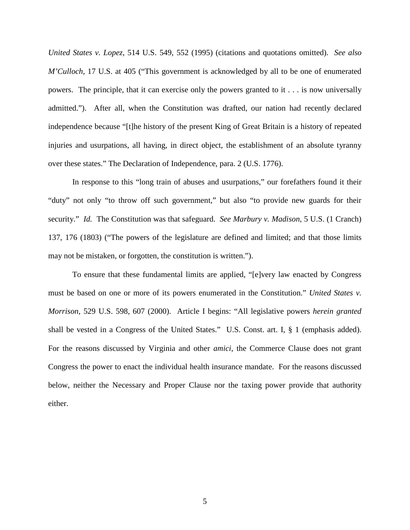*United States v. Lopez*, 514 U.S. 549, 552 (1995) (citations and quotations omitted). *See also M'Culloch*, 17 U.S. at 405 ("This government is acknowledged by all to be one of enumerated powers. The principle, that it can exercise only the powers granted to it . . . is now universally admitted."). After all, when the Constitution was drafted, our nation had recently declared independence because "[t]he history of the present King of Great Britain is a history of repeated injuries and usurpations, all having, in direct object, the establishment of an absolute tyranny over these states." The Declaration of Independence, para. 2 (U.S. 1776).

In response to this "long train of abuses and usurpations," our forefathers found it their "duty" not only "to throw off such government," but also "to provide new guards for their security." *Id.* The Constitution was that safeguard. *See Marbury v. Madison*, 5 U.S. (1 Cranch) 137, 176 (1803) ("The powers of the legislature are defined and limited; and that those limits may not be mistaken, or forgotten, the constitution is written.").

To ensure that these fundamental limits are applied, "[e]very law enacted by Congress must be based on one or more of its powers enumerated in the Constitution." *United States v. Morrison*, 529 U.S. 598, 607 (2000). Article I begins: "All legislative powers *herein granted* shall be vested in a Congress of the United States." U.S. Const. art. I, § 1 (emphasis added). For the reasons discussed by Virginia and other *amici*, the Commerce Clause does not grant Congress the power to enact the individual health insurance mandate. For the reasons discussed below, neither the Necessary and Proper Clause nor the taxing power provide that authority either.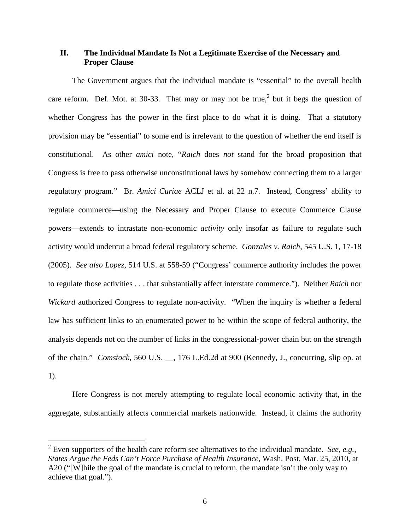## **II. The Individual Mandate Is Not a Legitimate Exercise of the Necessary and Proper Clause**

The Government argues that the individual mandate is "essential" to the overall health care reform. Def. Mot. at 30-33. That may or may not be true,<sup>2</sup> but it begs the question of whether Congress has the power in the first place to do what it is doing. That a statutory provision may be "essential" to some end is irrelevant to the question of whether the end itself is constitutional. As other *amici* note, "*Raich* does *not* stand for the broad proposition that Congress is free to pass otherwise unconstitutional laws by somehow connecting them to a larger regulatory program." Br. *Amici Curiae* ACLJ et al. at 22 n.7. Instead, Congress' ability to regulate commerce—using the Necessary and Proper Clause to execute Commerce Clause powers—extends to intrastate non-economic *activity* only insofar as failure to regulate such activity would undercut a broad federal regulatory scheme. *Gonzales v. Raich*, 545 U.S. 1, 17-18 (2005). *See also Lopez*, 514 U.S. at 558-59 ("Congress' commerce authority includes the power to regulate those activities . . . that substantially affect interstate commerce."). Neither *Raich* nor *Wickard* authorized Congress to regulate non-activity. "When the inquiry is whether a federal law has sufficient links to an enumerated power to be within the scope of federal authority, the analysis depends not on the number of links in the congressional-power chain but on the strength of the chain." *Comstock*, 560 U.S. \_\_, 176 L.Ed.2d at 900 (Kennedy, J., concurring, slip op. at 1).

Here Congress is not merely attempting to regulate local economic activity that, in the aggregate, substantially affects commercial markets nationwide. Instead, it claims the authority

 <sup>2</sup> Even supporters of the health care reform see alternatives to the individual mandate. *See*, *e.g.*, *States Argue the Feds Can't Force Purchase of Health Insurance*, Wash. Post, Mar. 25, 2010, at A20 ("[W]hile the goal of the mandate is crucial to reform, the mandate isn't the only way to achieve that goal.").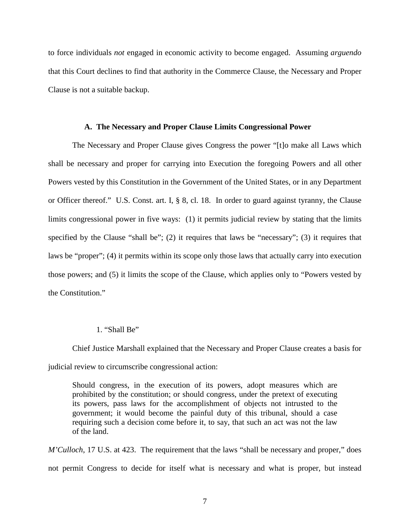to force individuals *not* engaged in economic activity to become engaged. Assuming *arguendo* that this Court declines to find that authority in the Commerce Clause, the Necessary and Proper Clause is not a suitable backup.

#### **A. The Necessary and Proper Clause Limits Congressional Power**

The Necessary and Proper Clause gives Congress the power "[t]o make all Laws which shall be necessary and proper for carrying into Execution the foregoing Powers and all other Powers vested by this Constitution in the Government of the United States, or in any Department or Officer thereof." U.S. Const. art. I, § 8, cl. 18. In order to guard against tyranny, the Clause limits congressional power in five ways: (1) it permits judicial review by stating that the limits specified by the Clause "shall be"; (2) it requires that laws be "necessary"; (3) it requires that laws be "proper"; (4) it permits within its scope only those laws that actually carry into execution those powers; and (5) it limits the scope of the Clause, which applies only to "Powers vested by the Constitution."

#### 1. "Shall Be"

Chief Justice Marshall explained that the Necessary and Proper Clause creates a basis for judicial review to circumscribe congressional action:

Should congress, in the execution of its powers, adopt measures which are prohibited by the constitution; or should congress, under the pretext of executing its powers, pass laws for the accomplishment of objects not intrusted to the government; it would become the painful duty of this tribunal, should a case requiring such a decision come before it, to say, that such an act was not the law of the land.

*M'Culloch*, 17 U.S. at 423. The requirement that the laws "shall be necessary and proper," does not permit Congress to decide for itself what is necessary and what is proper, but instead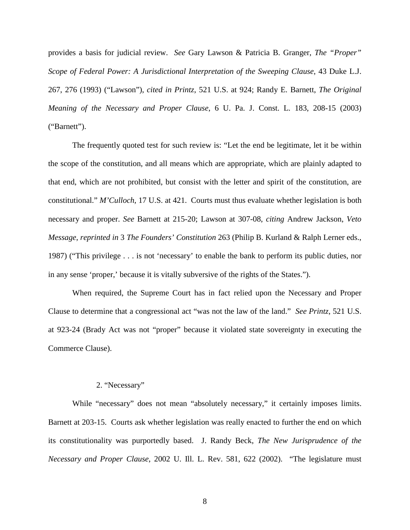provides a basis for judicial review. *See* Gary Lawson & Patricia B. Granger, *The "Proper" Scope of Federal Power: A Jurisdictional Interpretation of the Sweeping Clause, 43 Duke L.J.* 267, 276 (1993) ("Lawson"), *cited in Printz*, 521 U.S. at 924; Randy E. Barnett, *The Original Meaning of the Necessary and Proper Clause*, 6 U. Pa. J. Const. L. 183, 208-15 (2003) ("Barnett").

The frequently quoted test for such review is: "Let the end be legitimate, let it be within the scope of the constitution, and all means which are appropriate, which are plainly adapted to that end, which are not prohibited, but consist with the letter and spirit of the constitution, are constitutional." *M'Culloch*, 17 U.S. at 421. Courts must thus evaluate whether legislation is both necessary and proper. *See* Barnett at 215-20; Lawson at 307-08, *citing* Andrew Jackson, *Veto Message*, *reprinted in* 3 *The Founders' Constitution* 263 (Philip B. Kurland & Ralph Lerner eds., 1987) ("This privilege . . . is not 'necessary' to enable the bank to perform its public duties, nor in any sense 'proper,' because it is vitally subversive of the rights of the States.").

When required, the Supreme Court has in fact relied upon the Necessary and Proper Clause to determine that a congressional act "was not the law of the land." *See Printz*, 521 U.S. at 923-24 (Brady Act was not "proper" because it violated state sovereignty in executing the Commerce Clause).

#### 2. "Necessary"

While "necessary" does not mean "absolutely necessary," it certainly imposes limits. Barnett at 203-15. Courts ask whether legislation was really enacted to further the end on which its constitutionality was purportedly based. J. Randy Beck, *The New Jurisprudence of the Necessary and Proper Clause*, 2002 U. Ill. L. Rev. 581, 622 (2002). "The legislature must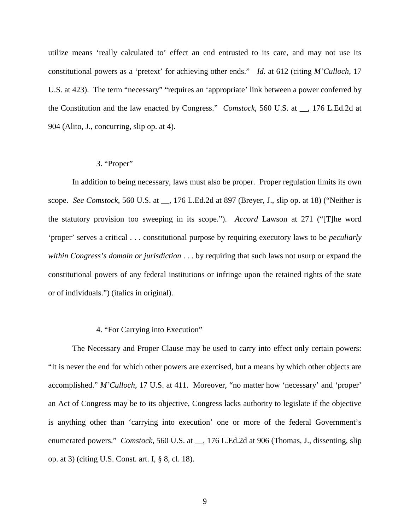utilize means 'really calculated to' effect an end entrusted to its care, and may not use its constitutional powers as a 'pretext' for achieving other ends." *Id*. at 612 (citing *M'Culloch*, 17 U.S. at 423). The term "necessary" "requires an 'appropriate' link between a power conferred by the Constitution and the law enacted by Congress." *Comstock*, 560 U.S. at \_\_, 176 L.Ed.2d at 904 (Alito, J., concurring, slip op. at 4).

### 3. "Proper"

In addition to being necessary, laws must also be proper. Proper regulation limits its own scope. *See Comstock*, 560 U.S. at \_\_, 176 L.Ed.2d at 897 (Breyer, J., slip op. at 18) ("Neither is the statutory provision too sweeping in its scope."). *Accord* Lawson at 271 ("[T]he word 'proper' serves a critical . . . constitutional purpose by requiring executory laws to be *peculiarly within Congress's domain or jurisdiction* . . . by requiring that such laws not usurp or expand the constitutional powers of any federal institutions or infringe upon the retained rights of the state or of individuals.") (italics in original).

#### 4. "For Carrying into Execution"

The Necessary and Proper Clause may be used to carry into effect only certain powers: "It is never the end for which other powers are exercised, but a means by which other objects are accomplished." *M'Culloch*, 17 U.S. at 411. Moreover, "no matter how 'necessary' and 'proper' an Act of Congress may be to its objective, Congress lacks authority to legislate if the objective is anything other than 'carrying into execution' one or more of the federal Government's enumerated powers." *Comstock*, 560 U.S. at \_\_, 176 L.Ed.2d at 906 (Thomas, J., dissenting, slip op. at 3) (citing U.S. Const. art. I, § 8, cl. 18).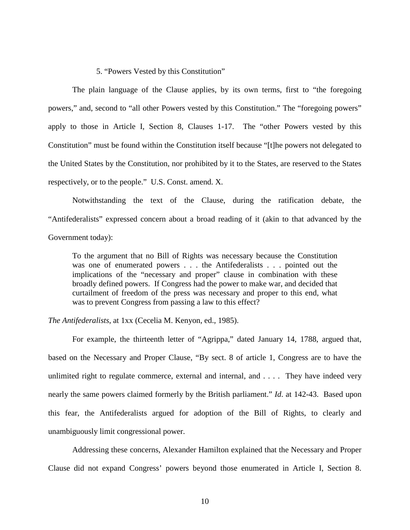#### 5. "Powers Vested by this Constitution"

The plain language of the Clause applies, by its own terms, first to "the foregoing powers," and, second to "all other Powers vested by this Constitution." The "foregoing powers" apply to those in Article I, Section 8, Clauses 1-17. The "other Powers vested by this Constitution" must be found within the Constitution itself because "[t]he powers not delegated to the United States by the Constitution, nor prohibited by it to the States, are reserved to the States respectively, or to the people." U.S. Const. amend. X.

Notwithstanding the text of the Clause, during the ratification debate, the "Antifederalists" expressed concern about a broad reading of it (akin to that advanced by the Government today):

To the argument that no Bill of Rights was necessary because the Constitution was one of enumerated powers . . . the Antifederalists . . . pointed out the implications of the "necessary and proper" clause in combination with these broadly defined powers. If Congress had the power to make war, and decided that curtailment of freedom of the press was necessary and proper to this end, what was to prevent Congress from passing a law to this effect?

*The Antifederalists*, at 1xx (Cecelia M. Kenyon, ed., 1985).

For example, the thirteenth letter of "Agrippa," dated January 14, 1788, argued that, based on the Necessary and Proper Clause, "By sect. 8 of article 1, Congress are to have the unlimited right to regulate commerce, external and internal, and  $\dots$ . They have indeed very nearly the same powers claimed formerly by the British parliament." *Id*. at 142-43. Based upon this fear, the Antifederalists argued for adoption of the Bill of Rights, to clearly and unambiguously limit congressional power.

Addressing these concerns, Alexander Hamilton explained that the Necessary and Proper Clause did not expand Congress' powers beyond those enumerated in Article I, Section 8.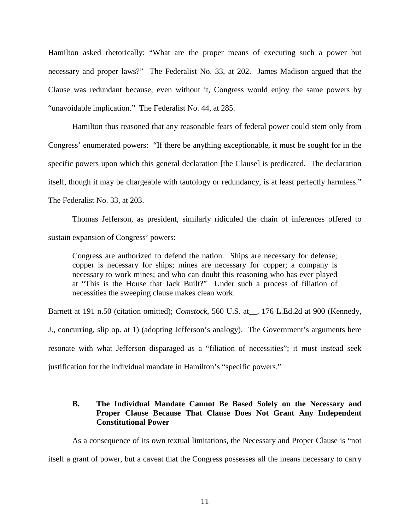Hamilton asked rhetorically: "What are the proper means of executing such a power but necessary and proper laws?" The Federalist No. 33, at 202. James Madison argued that the Clause was redundant because, even without it, Congress would enjoy the same powers by "unavoidable implication." The Federalist No. 44, at 285.

Hamilton thus reasoned that any reasonable fears of federal power could stem only from Congress' enumerated powers: "If there be anything exceptionable, it must be sought for in the specific powers upon which this general declaration [the Clause] is predicated. The declaration itself, though it may be chargeable with tautology or redundancy, is at least perfectly harmless." The Federalist No. 33, at 203.

Thomas Jefferson, as president, similarly ridiculed the chain of inferences offered to sustain expansion of Congress' powers:

Congress are authorized to defend the nation. Ships are necessary for defense; copper is necessary for ships; mines are necessary for copper; a company is necessary to work mines; and who can doubt this reasoning who has ever played at "This is the House that Jack Built?" Under such a process of filiation of necessities the sweeping clause makes clean work.

Barnett at 191 n.50 (citation omitted); *Comstock*, 560 U.S. at\_\_, 176 L.Ed.2d at 900 (Kennedy, J., concurring, slip op. at 1) (adopting Jefferson's analogy). The Government's arguments here resonate with what Jefferson disparaged as a "filiation of necessities"; it must instead seek justification for the individual mandate in Hamilton's "specific powers."

## **B. The Individual Mandate Cannot Be Based Solely on the Necessary and Proper Clause Because That Clause Does Not Grant Any Independent Constitutional Power**

As a consequence of its own textual limitations, the Necessary and Proper Clause is "not itself a grant of power, but a caveat that the Congress possesses all the means necessary to carry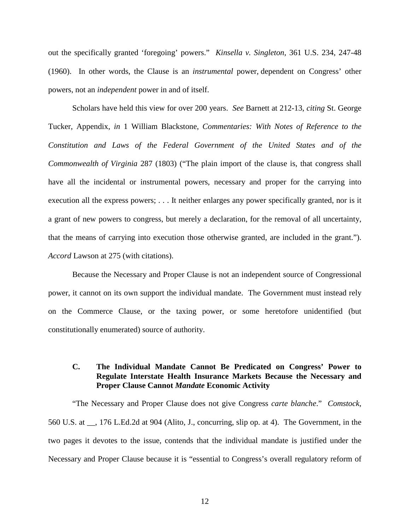out the specifically granted 'foregoing' powers." *Kinsella v. Singleton*, 361 U.S. 234, 247-48 (1960). In other words, the Clause is an *instrumental* power, dependent on Congress' other powers, not an *independent* power in and of itself.

Scholars have held this view for over 200 years. *See* Barnett at 212-13, *citing* St. George Tucker, Appendix, *in* 1 William Blackstone, *Commentaries: With Notes of Reference to the Constitution and Laws of the Federal Government of the United States and of the Commonwealth of Virginia* 287 (1803) ("The plain import of the clause is, that congress shall have all the incidental or instrumental powers, necessary and proper for the carrying into execution all the express powers; . . . It neither enlarges any power specifically granted, nor is it a grant of new powers to congress, but merely a declaration, for the removal of all uncertainty, that the means of carrying into execution those otherwise granted, are included in the grant."). *Accord* Lawson at 275 (with citations).

Because the Necessary and Proper Clause is not an independent source of Congressional power, it cannot on its own support the individual mandate. The Government must instead rely on the Commerce Clause, or the taxing power, or some heretofore unidentified (but constitutionally enumerated) source of authority.

## **C. The Individual Mandate Cannot Be Predicated on Congress' Power to Regulate Interstate Health Insurance Markets Because the Necessary and Proper Clause Cannot** *Mandate* **Economic Activity**

"The Necessary and Proper Clause does not give Congress *carte blanche*." *Comstock*, 560 U.S. at \_\_, 176 L.Ed.2d at 904 (Alito, J., concurring, slip op. at 4). The Government, in the two pages it devotes to the issue, contends that the individual mandate is justified under the Necessary and Proper Clause because it is "essential to Congress's overall regulatory reform of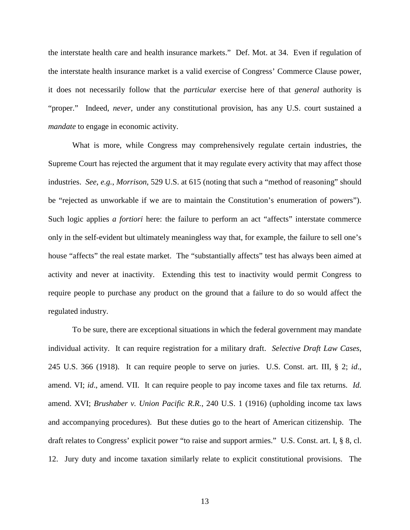the interstate health care and health insurance markets." Def. Mot. at 34. Even if regulation of the interstate health insurance market is a valid exercise of Congress' Commerce Clause power, it does not necessarily follow that the *particular* exercise here of that *general* authority is "proper." Indeed, *never*, under any constitutional provision, has any U.S. court sustained a *mandate* to engage in economic activity.

What is more, while Congress may comprehensively regulate certain industries, the Supreme Court has rejected the argument that it may regulate every activity that may affect those industries. *See*, *e.g.*, *Morrison*, 529 U.S. at 615 (noting that such a "method of reasoning" should be "rejected as unworkable if we are to maintain the Constitution's enumeration of powers"). Such logic applies *a fortiori* here: the failure to perform an act "affects" interstate commerce only in the self-evident but ultimately meaningless way that, for example, the failure to sell one's house "affects" the real estate market. The "substantially affects" test has always been aimed at activity and never at inactivity. Extending this test to inactivity would permit Congress to require people to purchase any product on the ground that a failure to do so would affect the regulated industry.

To be sure, there are exceptional situations in which the federal government may mandate individual activity. It can require registration for a military draft. *Selective Draft Law Cases*, 245 U.S. 366 (1918). It can require people to serve on juries. U.S. Const. art. III, § 2; *id*., amend. VI; *id*., amend. VII. It can require people to pay income taxes and file tax returns. *Id.* amend. XVI; *Brushaber v. Union Pacific R.R.*, 240 U.S. 1 (1916) (upholding income tax laws and accompanying procedures). But these duties go to the heart of American citizenship. The draft relates to Congress' explicit power "to raise and support armies." U.S. Const. art. I, § 8, cl. 12. Jury duty and income taxation similarly relate to explicit constitutional provisions. The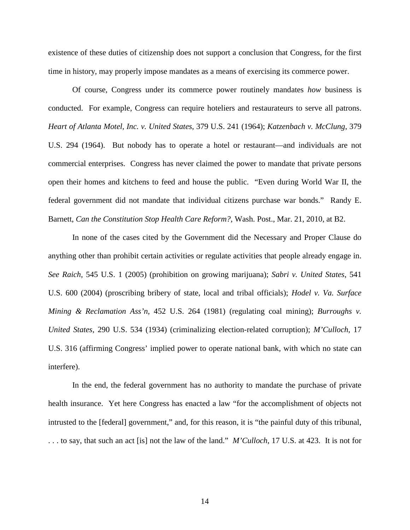existence of these duties of citizenship does not support a conclusion that Congress, for the first time in history, may properly impose mandates as a means of exercising its commerce power.

Of course, Congress under its commerce power routinely mandates *how* business is conducted. For example, Congress can require hoteliers and restaurateurs to serve all patrons. *Heart of Atlanta Motel, Inc. v. United States*, 379 U.S. 241 (1964); *Katzenbach v. McClung*, 379 U.S. 294 (1964). But nobody has to operate a hotel or restaurant—and individuals are not commercial enterprises. Congress has never claimed the power to mandate that private persons open their homes and kitchens to feed and house the public. "Even during World War II, the federal government did not mandate that individual citizens purchase war bonds." Randy E. Barnett, *Can the Constitution Stop Health Care Reform?*, Wash. Post., Mar. 21, 2010, at B2.

In none of the cases cited by the Government did the Necessary and Proper Clause do anything other than prohibit certain activities or regulate activities that people already engage in. *See Raich*, 545 U.S. 1 (2005) (prohibition on growing marijuana); *Sabri v. United States*, 541 U.S. 600 (2004) (proscribing bribery of state, local and tribal officials); *Hodel v. Va. Surface Mining & Reclamation Ass'n*, 452 U.S. 264 (1981) (regulating coal mining); *Burroughs v. United States*, 290 U.S. 534 (1934) (criminalizing election-related corruption); *M'Culloch*, 17 U.S. 316 (affirming Congress' implied power to operate national bank, with which no state can interfere).

In the end, the federal government has no authority to mandate the purchase of private health insurance. Yet here Congress has enacted a law "for the accomplishment of objects not intrusted to the [federal] government," and, for this reason, it is "the painful duty of this tribunal, . . . to say, that such an act [is] not the law of the land." *M'Culloch*, 17 U.S. at 423. It is not for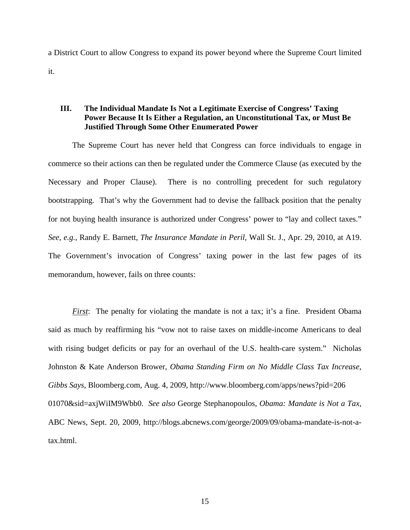a District Court to allow Congress to expand its power beyond where the Supreme Court limited it.

## **III. The Individual Mandate Is Not a Legitimate Exercise of Congress' Taxing Power Because It Is Either a Regulation, an Unconstitutional Tax, or Must Be Justified Through Some Other Enumerated Power**

The Supreme Court has never held that Congress can force individuals to engage in commerce so their actions can then be regulated under the Commerce Clause (as executed by the Necessary and Proper Clause). There is no controlling precedent for such regulatory bootstrapping. That's why the Government had to devise the fallback position that the penalty for not buying health insurance is authorized under Congress' power to "lay and collect taxes." *See*, *e.g.*, Randy E. Barnett, *The Insurance Mandate in Peril*, Wall St. J., Apr. 29, 2010, at A19. The Government's invocation of Congress' taxing power in the last few pages of its memorandum, however, fails on three counts:

*First*: The penalty for violating the mandate is not a tax; it's a fine. President Obama said as much by reaffirming his "vow not to raise taxes on middle-income Americans to deal with rising budget deficits or pay for an overhaul of the U.S. health-care system." Nicholas Johnston & Kate Anderson Brower, *Obama Standing Firm on No Middle Class Tax Increase, Gibbs Says*, Bloomberg.com, Aug. 4, 2009, http://www.bloomberg.com/apps/news?pid=206 01070&sid=axjWiIM9Wbb0. *See also* George Stephanopoulos, *Obama: Mandate is Not a Tax*, ABC News, Sept. 20, 2009, http://blogs.abcnews.com/george/2009/09/obama-mandate-is-not-atax.html.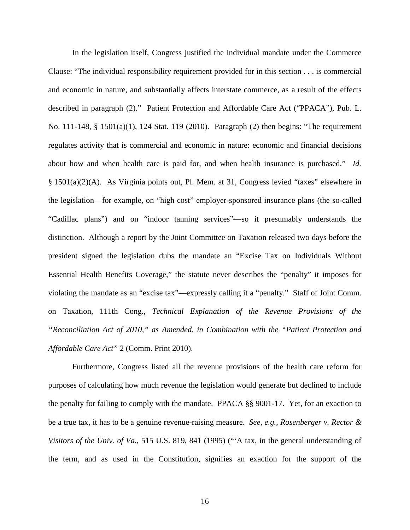In the legislation itself, Congress justified the individual mandate under the Commerce Clause: "The individual responsibility requirement provided for in this section . . . is commercial and economic in nature, and substantially affects interstate commerce, as a result of the effects described in paragraph (2)." Patient Protection and Affordable Care Act ("PPACA"), Pub. L. No. 111-148, § 1501(a)(1), 124 Stat. 119 (2010). Paragraph (2) then begins: "The requirement regulates activity that is commercial and economic in nature: economic and financial decisions about how and when health care is paid for, and when health insurance is purchased." *Id.* § 1501(a)(2)(A). As Virginia points out, Pl. Mem. at 31, Congress levied "taxes" elsewhere in the legislation—for example, on "high cost" employer-sponsored insurance plans (the so-called "Cadillac plans") and on "indoor tanning services"—so it presumably understands the distinction. Although a report by the Joint Committee on Taxation released two days before the president signed the legislation dubs the mandate an "Excise Tax on Individuals Without Essential Health Benefits Coverage," the statute never describes the "penalty" it imposes for violating the mandate as an "excise tax"—expressly calling it a "penalty." Staff of Joint Comm. on Taxation, 111th Cong., *Technical Explanation of the Revenue Provisions of the "Reconciliation Act of 2010," as Amended, in Combination with the "Patient Protection and Affordable Care Act"* 2 (Comm. Print 2010).

Furthermore, Congress listed all the revenue provisions of the health care reform for purposes of calculating how much revenue the legislation would generate but declined to include the penalty for failing to comply with the mandate. PPACA §§ 9001-17. Yet, for an exaction to be a true tax, it has to be a genuine revenue-raising measure. *See*, *e.g.*, *Rosenberger v. Rector & Visitors of the Univ. of Va.*, 515 U.S. 819, 841 (1995) ("'A tax, in the general understanding of the term, and as used in the Constitution, signifies an exaction for the support of the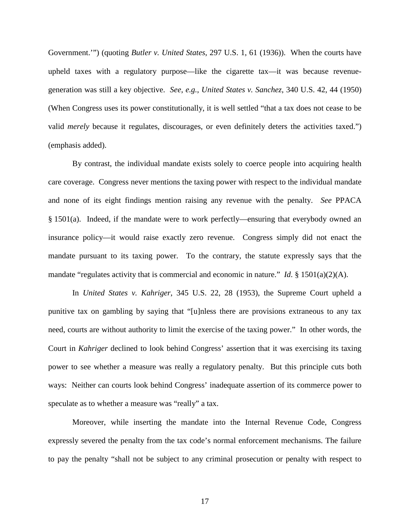Government.'") (quoting *Butler v. United States*, 297 U.S. 1, 61 (1936)). When the courts have upheld taxes with a regulatory purpose—like the cigarette tax—it was because revenuegeneration was still a key objective. *See*, *e.g.*, *United States v. Sanchez*, 340 U.S. 42, 44 (1950) (When Congress uses its power constitutionally, it is well settled "that a tax does not cease to be valid *merely* because it regulates, discourages, or even definitely deters the activities taxed.") (emphasis added).

By contrast, the individual mandate exists solely to coerce people into acquiring health care coverage. Congress never mentions the taxing power with respect to the individual mandate and none of its eight findings mention raising any revenue with the penalty. *See* PPACA  $§$  1501(a). Indeed, if the mandate were to work perfectly—ensuring that everybody owned an insurance policy—it would raise exactly zero revenue. Congress simply did not enact the mandate pursuant to its taxing power. To the contrary, the statute expressly says that the mandate "regulates activity that is commercial and economic in nature." *Id*. § 1501(a)(2)(A).

In *United States v. Kahriger*, 345 U.S. 22, 28 (1953), the Supreme Court upheld a punitive tax on gambling by saying that "[u]nless there are provisions extraneous to any tax need, courts are without authority to limit the exercise of the taxing power." In other words, the Court in *Kahriger* declined to look behind Congress' assertion that it was exercising its taxing power to see whether a measure was really a regulatory penalty. But this principle cuts both ways: Neither can courts look behind Congress' inadequate assertion of its commerce power to speculate as to whether a measure was "really" a tax.

Moreover, while inserting the mandate into the Internal Revenue Code, Congress expressly severed the penalty from the tax code's normal enforcement mechanisms. The failure to pay the penalty "shall not be subject to any criminal prosecution or penalty with respect to

17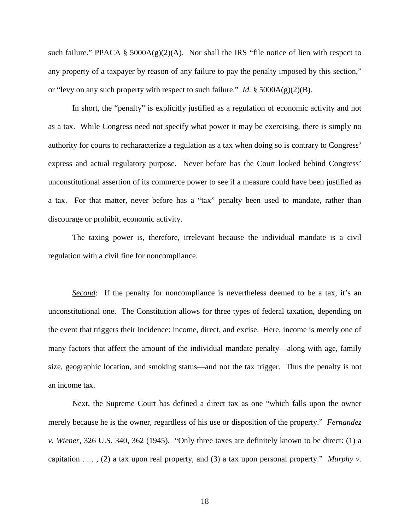such failure." PPACA §  $5000A(g)(2)(A)$ . Nor shall the IRS "file notice of lien with respect to any property of a taxpayer by reason of any failure to pay the penalty imposed by this section," or "levy on any such property with respect to such failure." *Id.*  $\S 5000A(g)(2)(B)$ .

In short, the "penalty" is explicitly justified as a regulation of economic activity and not as a tax. While Congress need not specify what power it may be exercising, there is simply no authority for courts to recharacterize a regulation as a tax when doing so is contrary to Congress' express and actual regulatory purpose. Never before has the Court looked behind Congress' unconstitutional assertion of its commerce power to see if a measure could have been justified as a tax. For that matter, never before has a "tax" penalty been used to mandate, rather than discourage or prohibit, economic activity.

The taxing power is, therefore, irrelevant because the individual mandate is a civil regulation with a civil fine for noncompliance.

*Second*: If the penalty for noncompliance is nevertheless deemed to be a tax, it's an unconstitutional one. The Constitution allows for three types of federal taxation, depending on the event that triggers their incidence: income, direct, and excise. Here, income is merely one of many factors that affect the amount of the individual mandate penalty—along with age, family size, geographic location, and smoking status—and not the tax trigger. Thus the penalty is not an income tax.

Next, the Supreme Court has defined a direct tax as one "which falls upon the owner merely because he is the owner, regardless of his use or disposition of the property." *Fernandez v. Wiener*, 326 U.S. 340, 362 (1945). "Only three taxes are definitely known to be direct: (1) a capitation . . . , (2) a tax upon real property, and (3) a tax upon personal property." *Murphy v.*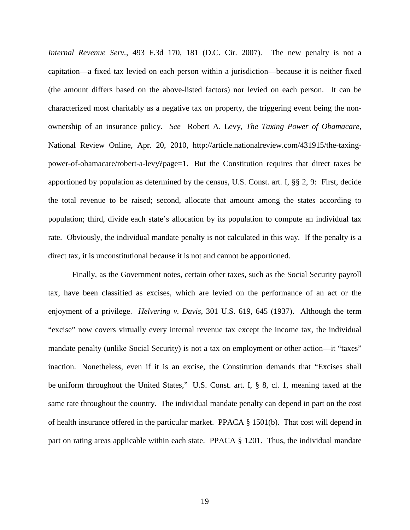*Internal Revenue Serv.*, 493 F.3d 170, 181 (D.C. Cir. 2007). The new penalty is not a capitation—a fixed tax levied on each person within a jurisdiction—because it is neither fixed (the amount differs based on the above-listed factors) nor levied on each person. It can be characterized most charitably as a negative tax on property, the triggering event being the nonownership of an insurance policy. *See* Robert A. Levy, *The Taxing Power of Obamacare*, National Review Online, Apr. 20, 2010, http://article.nationalreview.com/431915/the-taxingpower-of-obamacare/robert-a-levy?page=1. But the Constitution requires that direct taxes be apportioned by population as determined by the census, U.S. Const. art. I, §§ 2, 9: First, decide the total revenue to be raised; second, allocate that amount among the states according to population; third, divide each state's allocation by its population to compute an individual tax rate. Obviously, the individual mandate penalty is not calculated in this way. If the penalty is a direct tax, it is unconstitutional because it is not and cannot be apportioned.

Finally, as the Government notes, certain other taxes, such as the Social Security payroll tax, have been classified as excises, which are levied on the performance of an act or the enjoyment of a privilege. *Helvering v. Davis*, 301 U.S. 619, 645 (1937). Although the term "excise" now covers virtually every internal revenue tax except the income tax, the individual mandate penalty (unlike Social Security) is not a tax on employment or other action—it "taxes" inaction. Nonetheless, even if it is an excise, the Constitution demands that "Excises shall be uniform throughout the United States," U.S. Const. art. I, § 8, cl. 1, meaning taxed at the same rate throughout the country. The individual mandate penalty can depend in part on the cost of health insurance offered in the particular market. PPACA § 1501(b). That cost will depend in part on rating areas applicable within each state. PPACA § 1201. Thus, the individual mandate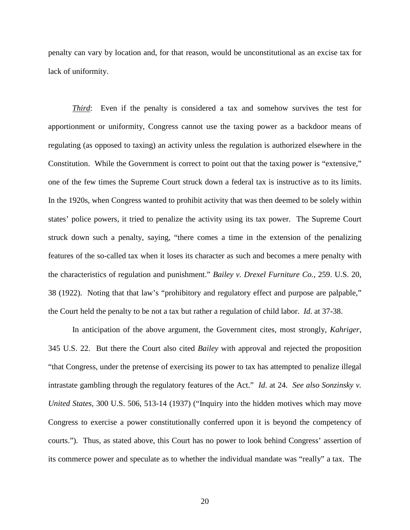penalty can vary by location and, for that reason, would be unconstitutional as an excise tax for lack of uniformity.

*Third*: Even if the penalty is considered a tax and somehow survives the test for apportionment or uniformity, Congress cannot use the taxing power as a backdoor means of regulating (as opposed to taxing) an activity unless the regulation is authorized elsewhere in the Constitution. While the Government is correct to point out that the taxing power is "extensive," one of the few times the Supreme Court struck down a federal tax is instructive as to its limits. In the 1920s, when Congress wanted to prohibit activity that was then deemed to be solely within states' police powers, it tried to penalize the activity using its tax power. The Supreme Court struck down such a penalty, saying, "there comes a time in the extension of the penalizing features of the so-called tax when it loses its character as such and becomes a mere penalty with the characteristics of regulation and punishment." *Bailey v. Drexel Furniture Co.*, 259. U.S. 20, 38 (1922). Noting that that law's "prohibitory and regulatory effect and purpose are palpable," the Court held the penalty to be not a tax but rather a regulation of child labor. *Id*. at 37-38.

In anticipation of the above argument, the Government cites, most strongly, *Kahriger*, 345 U.S. 22. But there the Court also cited *Bailey* with approval and rejected the proposition "that Congress, under the pretense of exercising its power to tax has attempted to penalize illegal intrastate gambling through the regulatory features of the Act." *Id*. at 24. *See also Sonzinsky v. United States*, 300 U.S. 506, 513-14 (1937) ("Inquiry into the hidden motives which may move Congress to exercise a power constitutionally conferred upon it is beyond the competency of courts."). Thus, as stated above, this Court has no power to look behind Congress' assertion of its commerce power and speculate as to whether the individual mandate was "really" a tax. The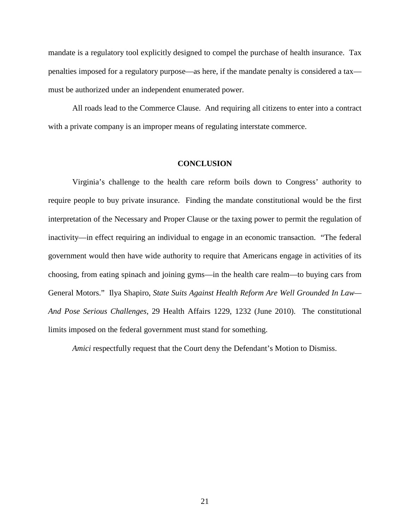mandate is a regulatory tool explicitly designed to compel the purchase of health insurance. Tax penalties imposed for a regulatory purpose—as here, if the mandate penalty is considered a tax must be authorized under an independent enumerated power.

All roads lead to the Commerce Clause. And requiring all citizens to enter into a contract with a private company is an improper means of regulating interstate commerce.

#### **CONCLUSION**

Virginia's challenge to the health care reform boils down to Congress' authority to require people to buy private insurance. Finding the mandate constitutional would be the first interpretation of the Necessary and Proper Clause or the taxing power to permit the regulation of inactivity—in effect requiring an individual to engage in an economic transaction. "The federal government would then have wide authority to require that Americans engage in activities of its choosing, from eating spinach and joining gyms—in the health care realm—to buying cars from General Motors." Ilya Shapiro, *State Suits Against Health Reform Are Well Grounded In Law— And Pose Serious Challenges*, 29 Health Affairs 1229, 1232 (June 2010). The constitutional limits imposed on the federal government must stand for something.

*Amici* respectfully request that the Court deny the Defendant's Motion to Dismiss.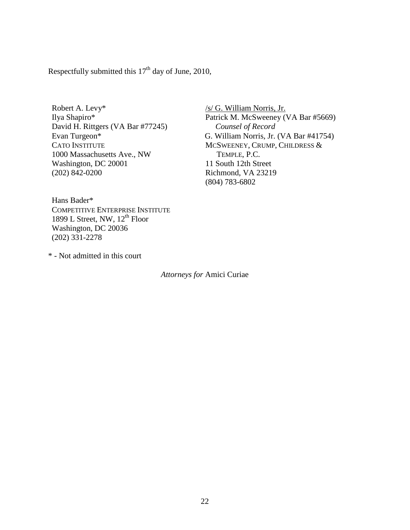Respectfully submitted this  $17<sup>th</sup>$  day of June, 2010,

Robert A. Levy\* Ilya Shapiro\* David H. Rittgers (VA Bar #77245) Evan Turgeon\* CATO INSTITUTE 1000 Massachusetts Ave., NW Washington, DC 20001 (202) 842-0200

/s/ G. William Norris, Jr. Patrick M. McSweeney (VA Bar #5669) *Counsel of Record* G. William Norris, Jr. (VA Bar #41754) MCSWEENEY, CRUMP, CHILDRESS & TEMPLE, P.C. 11 South 12th Street Richmond, VA 23219 (804) 783-6802

Hans Bader\* COMPETITIVE ENTERPRISE INSTITUTE 1899 L Street, NW, 12<sup>th</sup> Floor Washington, DC 20036 (202) 331-2278

\* - Not admitted in this court

*Attorneys for* Amici Curiae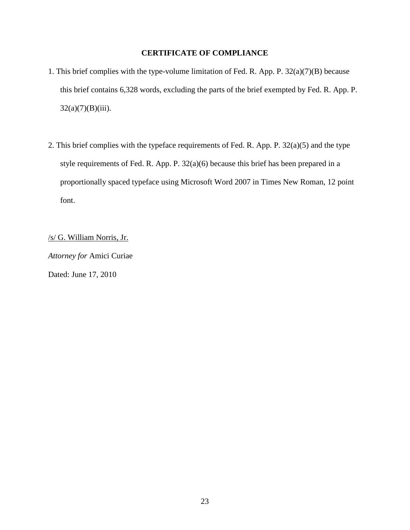## **CERTIFICATE OF COMPLIANCE**

- 1. This brief complies with the type-volume limitation of Fed. R. App. P. 32(a)(7)(B) because this brief contains 6,328 words, excluding the parts of the brief exempted by Fed. R. App. P.  $32(a)(7)(B)(iii)$ .
- 2. This brief complies with the typeface requirements of Fed. R. App. P. 32(a)(5) and the type style requirements of Fed. R. App. P. 32(a)(6) because this brief has been prepared in a proportionally spaced typeface using Microsoft Word 2007 in Times New Roman, 12 point font.

/s/ G. William Norris, Jr. *Attorney for* Amici Curiae Dated: June 17, 2010